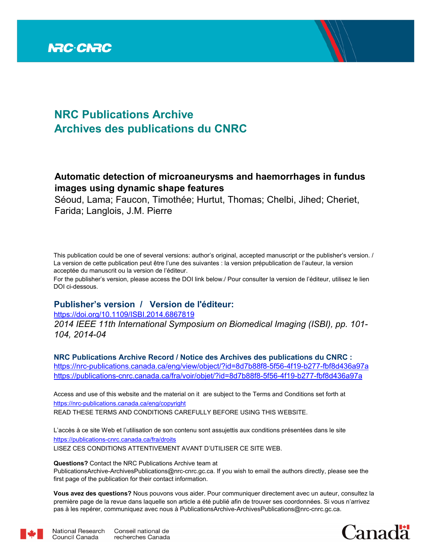

# **NRC Publications Archive Archives des publications du CNRC**

# **Automatic detection of microaneurysms and haemorrhages in fundus images using dynamic shape features**

Séoud, Lama; Faucon, Timothée; Hurtut, Thomas; Chelbi, Jihed; Cheriet, Farida; Langlois, J.M. Pierre

This publication could be one of several versions: author's original, accepted manuscript or the publisher's version. / La version de cette publication peut être l'une des suivantes : la version prépublication de l'auteur, la version acceptée du manuscrit ou la version de l'éditeur.

For the publisher's version, please access the DOI link below./ Pour consulter la version de l'éditeur, utilisez le lien DOI ci-dessous.

## **Publisher's version / Version de l'éditeur:**

https://doi.org/10.1109/ISBI.2014.6867819

*2014 IEEE 11th International Symposium on Biomedical Imaging (ISBI), pp. 101- 104, 2014-04*

**NRC Publications Archive Record / Notice des Archives des publications du CNRC :** https://nrc-publications.canada.ca/eng/view/object/?id=8d7b88f8-5f56-4f19-b277-fbf8d436a97a

https://publications-cnrc.canada.ca/fra/voir/objet/?id=8d7b88f8-5f56-4f19-b277-fbf8d436a97a

READ THESE TERMS AND CONDITIONS CAREFULLY BEFORE USING THIS WEBSITE. https://nrc-publications.canada.ca/eng/copyright Access and use of this website and the material on it are subject to the Terms and Conditions set forth at

https://publications-cnrc.canada.ca/fra/droits L'accès à ce site Web et l'utilisation de son contenu sont assujettis aux conditions présentées dans le site LISEZ CES CONDITIONS ATTENTIVEMENT AVANT D'UTILISER CE SITE WEB.

**Questions?** Contact the NRC Publications Archive team at

PublicationsArchive-ArchivesPublications@nrc-cnrc.gc.ca. If you wish to email the authors directly, please see the first page of the publication for their contact information.

**Vous avez des questions?** Nous pouvons vous aider. Pour communiquer directement avec un auteur, consultez la première page de la revue dans laquelle son article a été publié afin de trouver ses coordonnées. Si vous n'arrivez pas à les repérer, communiquez avec nous à PublicationsArchive-ArchivesPublications@nrc-cnrc.gc.ca.



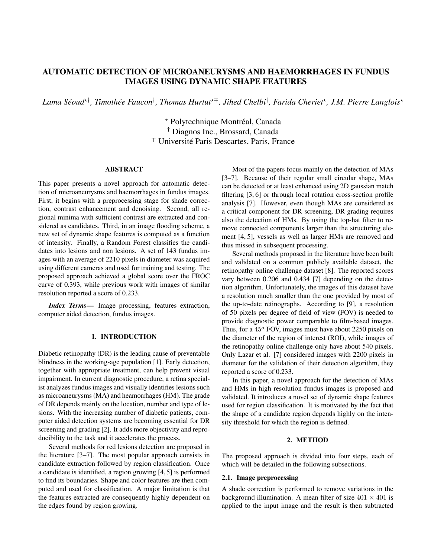### AUTOMATIC DETECTION OF MICROANEURYSMS AND HAEMORRHAGES IN FUNDUS IMAGES USING DYNAMIC SHAPE FEATURES

 $L$ ama Séoud<sup>׆</sup>, Timothée Faucon<sup>†</sup>, Thomas Hurtut<sup>∗∓</sup>, Jihed Chelbi<sup>†</sup>, Farida Cheriet\*, J.M. Pierre Langlois\*

\* Polytechnique Montréal, Canada † Diagnos Inc., Brossard, Canada <sup>∓</sup> Universite Paris Descartes, Paris, France ´

#### ABSTRACT

This paper presents a novel approach for automatic detection of microaneurysms and haemorrhages in fundus images. First, it begins with a preprocessing stage for shade correction, contrast enhancement and denoising. Second, all regional minima with sufficient contrast are extracted and considered as candidates. Third, in an image flooding scheme, a new set of dynamic shape features is computed as a function of intensity. Finally, a Random Forest classifies the candidates into lesions and non lesions. A set of 143 fundus images with an average of 2210 pixels in diameter was acquired using different cameras and used for training and testing. The proposed approach achieved a global score over the FROC curve of 0.393, while previous work with images of similar resolution reported a score of 0.233.

*Index Terms*— Image processing, features extraction, computer aided detection, fundus images.

#### 1. INTRODUCTION

Diabetic retinopathy (DR) is the leading cause of preventable blindness in the working-age population [1]. Early detection, together with appropriate treatment, can help prevent visual impairment. In current diagnostic procedure, a retina specialist analyzes fundus images and visually identifies lesions such as microaneurysms (MA) and heamorrhages (HM). The grade of DR depends mainly on the location, number and type of lesions. With the increasing number of diabetic patients, computer aided detection systems are becoming essential for DR screening and grading [2]. It adds more objectivity and reproducibility to the task and it accelerates the process.

Several methods for red lesions detection are proposed in the literature [3–7]. The most popular approach consists in candidate extraction followed by region classification. Once a candidate is identified, a region growing [4, 5] is performed to find its boundaries. Shape and color features are then computed and used for classification. A major limitation is that the features extracted are consequently highly dependent on the edges found by region growing.

Most of the papers focus mainly on the detection of MAs [3–7]. Because of their regular small circular shape, MAs can be detected or at least enhanced using 2D gaussian match filtering [3, 6] or through local rotation cross-section profile analysis [7]. However, even though MAs are considered as a critical component for DR screening, DR grading requires also the detection of HMs. By using the top-hat filter to remove connected components larger than the structuring element [4, 5], vessels as well as larger HMs are removed and thus missed in subsequent processing.

Several methods proposed in the literature have been built and validated on a common publicly available dataset, the retinopathy online challenge dataset [8]. The reported scores vary between 0.206 and 0.434 [7] depending on the detection algorithm. Unfortunately, the images of this dataset have a resolution much smaller than the one provided by most of the up-to-date retinographs. According to [9], a resolution of 50 pixels per degree of field of view (FOV) is needed to provide diagnostic power comparable to film-based images. Thus, for a 45° FOV, images must have about 2250 pixels on the diameter of the region of interest (ROI), while images of the retinopathy online challenge only have about 540 pixels. Only Lazar et al. [7] considered images with 2200 pixels in diameter for the validation of their detection algorithm, they reported a score of 0.233.

In this paper, a novel approach for the detection of MAs and HMs in high resolution fundus images is proposed and validated. It introduces a novel set of dynamic shape features used for region classification. It is motivated by the fact that the shape of a candidate region depends highly on the intensity threshold for which the region is defined.

#### 2. METHOD

The proposed approach is divided into four steps, each of which will be detailed in the following subsections.

#### 2.1. Image preprocessing

A shade correction is performed to remove variations in the background illumination. A mean filter of size  $401 \times 401$  is applied to the input image and the result is then subtracted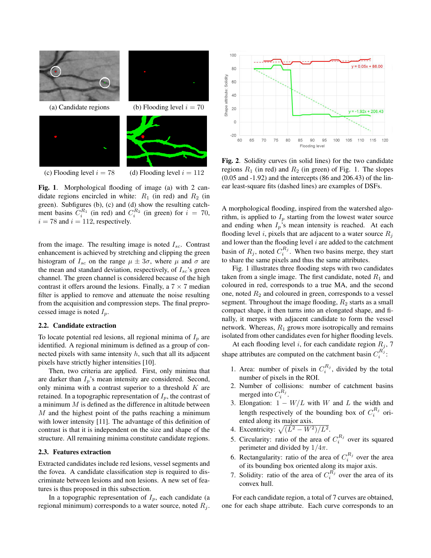

(c) Flooding level  $i = 78$  (d) Flooding level  $i = 112$ 

Fig. 1. Morphological flooding of image (a) with 2 candidate regions encircled in white:  $R_1$  (in red) and  $R_2$  (in green). Subfigures (b), (c) and (d) show the resulting catchment basins  $C_i^{R_1}$  (in red) and  $C_i^{R_2}$  (in green) for  $i = 70$ ,  $i = 78$  and  $i = 112$ , respectively.

from the image. The resulting image is noted  $I_{sc}$ . Contrast enhancement is achieved by stretching and clipping the green histogram of  $I_{sc}$  on the range  $\mu \pm 3\sigma$ , where  $\mu$  and  $\sigma$  are the mean and standard deviation, respectively, of  $I_{sc}$ 's green channel. The green channel is considered because of the high contrast it offers around the lesions. Finally, a  $7 \times 7$  median filter is applied to remove and attenuate the noise resulting from the acquisition and compression steps. The final preprocessed image is noted  $I_p$ .

#### 2.2. Candidate extraction

To locate potential red lesions, all regional minima of  $I_p$  are identified. A regional minimum is defined as a group of connected pixels with same intensity  $h$ , such that all its adjacent pixels have strictly higher intensities [10].

Then, two criteria are applied. First, only minima that are darker than  $I_p$ 's mean intensity are considered. Second, only minima with a contrast superior to a threshold  $K$  are retained. In a topographic representation of  $I_p$ , the contrast of a minimum  $M$  is defined as the difference in altitude between M and the highest point of the paths reaching a minimum with lower intensity [11]. The advantage of this definition of contrast is that it is independent on the size and shape of the structure. All remaining minima constitute candidate regions.

#### 2.3. Features extraction

Extracted candidates include red lesions, vessel segments and the fovea. A candidate classification step is required to discriminate between lesions and non lesions. A new set of features is thus proposed in this subsection.

In a topographic representation of  $I_p$ , each candidate (a regional minimum) corresponds to a water source, noted  $R_j$ .



Fig. 2. Solidity curves (in solid lines) for the two candidate regions  $R_1$  (in red) and  $R_2$  (in green) of Fig. 1. The slopes (0.05 and -1.92) and the intercepts (86 and 206.43) of the linear least-square fits (dashed lines) are examples of DSFs.

A morphological flooding, inspired from the watershed algorithm, is applied to  $I_p$  starting from the lowest water source and ending when  $I_p$ 's mean intensity is reached. At each flooding level i, pixels that are adjacent to a water source  $R_i$ and lower than the flooding level  $i$  are added to the catchment basin of  $R_j$ , noted  $C_i^{R_j}$ . When two basins merge, they start to share the same pixels and thus the same attributes.

Fig. 1 illustrates three flooding steps with two candidates taken from a single image. The first candidate, noted  $R_1$  and coloured in red, corresponds to a true MA, and the second one, noted  $R_2$  and coloured in green, corresponds to a vessel segment. Throughout the image flooding,  $R_2$  starts as a small compact shape, it then turns into an elongated shape, and finally, it merges with adjacent candidate to form the vessel network. Whereas,  $R_1$  grows more isotropically and remains isolated from other candidates even for higher flooding levels.

At each flooding level i, for each candidate region  $R_j$ , 7 shape attributes are computed on the catchment basin  $C_i^{R_j}$ :

- 1. Area: number of pixels in  $C_i^{R_j}$ , divided by the total number of pixels in the ROI.
- 2. Number of collisions: number of catchment basins merged into  $C_i^{R_j}$ .
- 3. Elongation:  $1 W/L$  with W and L the width and length respectively of the bounding box of  $C_i^{R_j}$  oriented along its major axis.
- 4. Excentricity:  $\sqrt{(L^2 W^2)/L^2}$ .
- 5. Circularity: ratio of the area of  $C_i^{R_j}$  over its squared perimeter and divided by  $1/4\pi$ .
- 6. Rectangularity: ratio of the area of  $C_i^{R_j}$  over the area of its bounding box oriented along its major axis.
- 7. Solidity: ratio of the area of  $C_i^{R_j}$  over the area of its convex hull.

For each candidate region, a total of 7 curves are obtained, one for each shape attribute. Each curve corresponds to an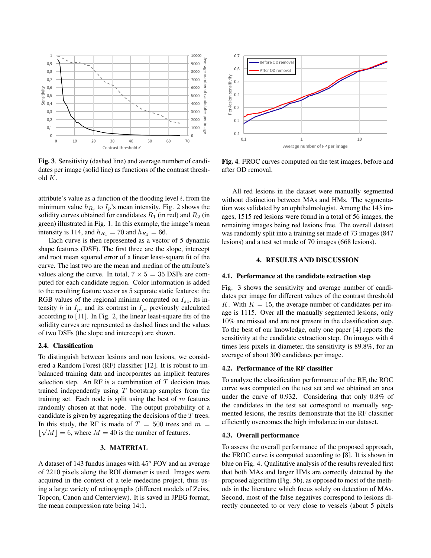

Fig. 3. Sensitivity (dashed line) and average number of candidates per image (solid line) as functions of the contrast threshold K.

attribute's value as a function of the flooding level  $i$ , from the minimum value  $h_{R_j}$  to  $I_p$ 's mean intensity. Fig. 2 shows the solidity curves obtained for candidates  $R_1$  (in red) and  $R_2$  (in green) illustrated in Fig. 1. In this example, the image's mean intensity is 114, and  $h_{R_1} = 70$  and  $h_{R_2} = 66$ .

Each curve is then represented as a vector of 5 dynamic shape features (DSF). The first three are the slope, intercept and root mean squared error of a linear least-square fit of the curve. The last two are the mean and median of the attribute's values along the curve. In total,  $7 \times 5 = 35$  DSFs are computed for each candidate region. Color information is added to the resulting feature vector as 5 separate static features: the RGB values of the regional minima computed on  $I_{sc}$ , its intensity h in  $I_p$ , and its contrast in  $I_p$ , previously calculated according to [11]. In Fig. 2, the linear least-square fits of the solidity curves are represented as dashed lines and the values of two DSFs (the slope and intercept) are shown.

#### 2.4. Classification

To distinguish between lesions and non lesions, we considered a Random Forest (RF) classifier [12]. It is robust to imbalanced training data and incorporates an implicit features selection step. An RF is a combination of  $T$  decision trees trained independently using  $T$  bootstrap samples from the training set. Each node is split using the best of  $m$  features randomly chosen at that node. The output probability of a candidate is given by aggregating the decisions of the  $T$  trees. In this study, the RF is made of  $T = 500$  trees and  $m =$  $\lfloor$  $\sqrt{M}$  = 6, where  $M = 40$  is the number of features.

#### 3. MATERIAL

A dataset of 143 fundus images with  $45^{\circ}$  FOV and an average of 2210 pixels along the ROI diameter is used. Images were acquired in the context of a tele-medecine project, thus using a large variety of retinographs (different models of Zeiss, Topcon, Canon and Centerview). It is saved in JPEG format, the mean compression rate being 14:1.



Fig. 4. FROC curves computed on the test images, before and after OD removal.

All red lesions in the dataset were manually segmented without distinction between MAs and HMs. The segmentation was validated by an ophthalmologist. Among the 143 images, 1515 red lesions were found in a total of 56 images, the remaining images being red lesions free. The overall dataset was randomly split into a training set made of 73 images (847 lesions) and a test set made of 70 images (668 lesions).

#### 4. RESULTS AND DISCUSSION

#### 4.1. Performance at the candidate extraction step

Fig. 3 shows the sensitivity and average number of candidates per image for different values of the contrast threshold K. With  $K = 15$ , the average number of candidates per image is 1115. Over all the manually segmented lesions, only 10% are missed and are not present in the classification step. To the best of our knowledge, only one paper [4] reports the sensitivity at the candidate extraction step. On images with 4 times less pixels in diameter, the sensitivity is 89.8%, for an average of about 300 candidates per image.

#### 4.2. Performance of the RF classifier

To analyze the classification performance of the RF, the ROC curve was computed on the test set and we obtained an area under the curve of 0.932. Considering that only 0.8% of the candidates in the test set correspond to manually segmented lesions, the results demonstrate that the RF classifier efficiently overcomes the high imbalance in our dataset.

#### 4.3. Overall performance

To assess the overall performance of the proposed approach, the FROC curve is computed according to [8]. It is shown in blue on Fig. 4. Qualitative analysis of the results revealed first that both MAs and larger HMs are correctly detected by the proposed algorithm (Fig. 5b), as opposed to most of the methods in the literature which focus solely on detection of MAs. Second, most of the false negatives correspond to lesions directly connected to or very close to vessels (about 5 pixels